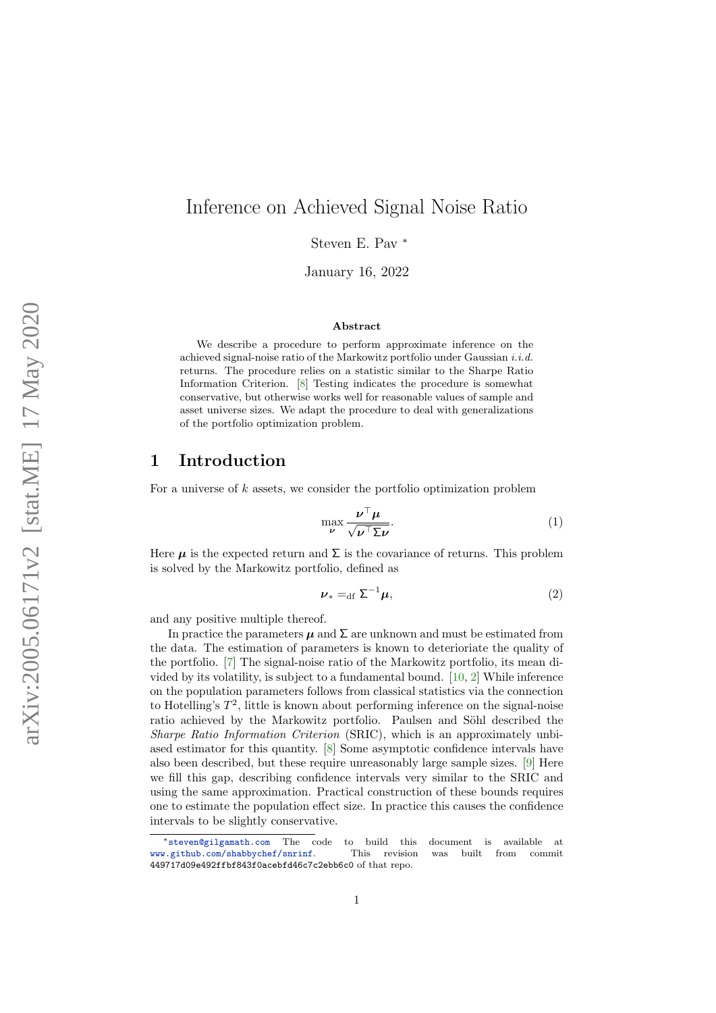# Inference on Achieved Signal Noise Ratio

Steven E. Pav <sup>∗</sup>

January 16, 2022

#### Abstract

We describe a procedure to perform approximate inference on the achieved signal-noise ratio of the Markowitz portfolio under Gaussian  $i.i.d$ returns. The procedure relies on a statistic similar to the Sharpe Ratio Information Criterion. [\[8\]](#page-9-0) Testing indicates the procedure is somewhat conservative, but otherwise works well for reasonable values of sample and asset universe sizes. We adapt the procedure to deal with generalizations of the portfolio optimization problem.

## 1 Introduction

For a universe of  $k$  assets, we consider the portfolio optimization problem

<span id="page-0-0"></span>
$$
\max_{\nu} \frac{\nu^{\top} \mu}{\sqrt{\nu^{\top} \Sigma \nu}}.
$$
\n(1)

Here  $\mu$  is the expected return and  $\Sigma$  is the covariance of returns. This problem is solved by the Markowitz portfolio, defined as

$$
\nu_* =_{\mathrm{df}} \Sigma^{-1} \mu,\tag{2}
$$

and any positive multiple thereof.

In practice the parameters  $\mu$  and  $\Sigma$  are unknown and must be estimated from the data. The estimation of parameters is known to deterioriate the quality of the portfolio. [\[7\]](#page-9-1) The signal-noise ratio of the Markowitz portfolio, its mean divided by its volatility, is subject to a fundamental bound. [\[10,](#page-9-2) [2\]](#page-8-0) While inference on the population parameters follows from classical statistics via the connection to Hotelling's  $T^2$ , little is known about performing inference on the signal-noise ratio achieved by the Markowitz portfolio. Paulsen and Söhl described the Sharpe Ratio Information Criterion (SRIC), which is an approximately unbiased estimator for this quantity. [\[8\]](#page-9-0) Some asymptotic confidence intervals have also been described, but these require unreasonably large sample sizes. [\[9\]](#page-9-3) Here we fill this gap, describing confidence intervals very similar to the SRIC and using the same approximation. Practical construction of these bounds requires one to estimate the population effect size. In practice this causes the confidence intervals to be slightly conservative.

<sup>∗</sup>[steven@gilgamath.com](mailto:steven@gilgamath.com) The code to build this document is available at [www.github.com/shabbychef/snrinf](http://www.github.com/shabbychef/snrinf). This revision was built from commit 449717d09e492ffbf843f0acebfd46c7c2ebb6c0 of that repo.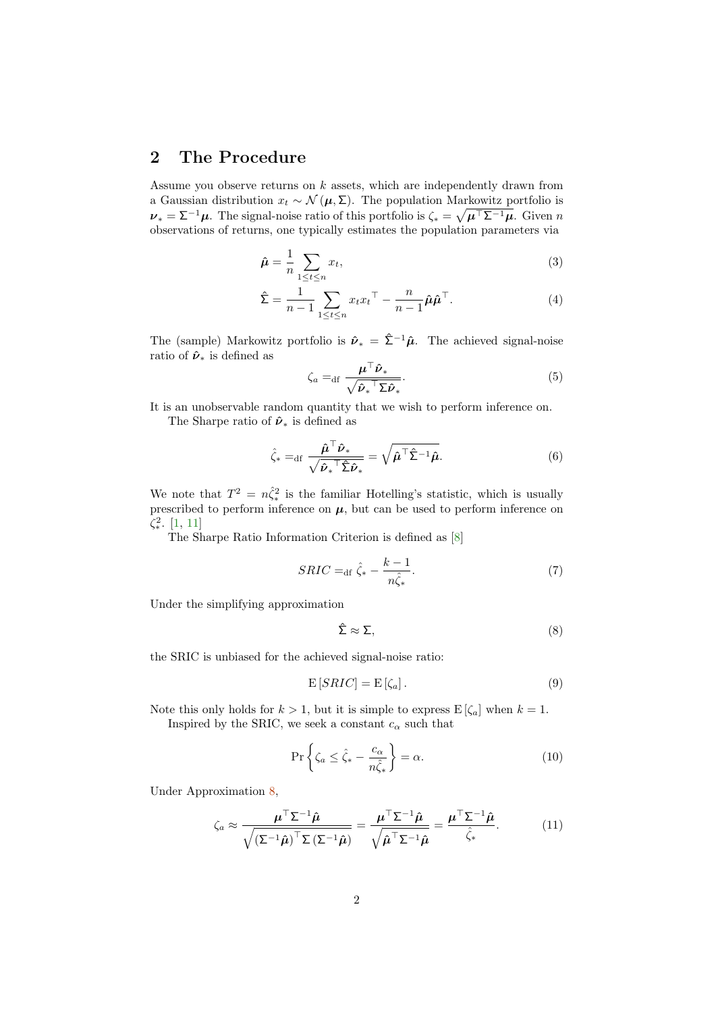## 2 The Procedure

Assume you observe returns on  $k$  assets, which are independently drawn from a Gaussian distribution  $x_t \sim \mathcal{N}(\mu, \Sigma)$ . The population Markowitz portfolio is  $\nu_* = \Sigma^{-1} \mu$ . The signal-noise ratio of this portfolio is  $\zeta_* = \sqrt{\mu^{\top} \Sigma^{-1} \mu}$ . Given n observations of returns, one typically estimates the population parameters via

$$
\hat{\boldsymbol{\mu}} = \frac{1}{n} \sum_{1 \le t \le n} x_t,\tag{3}
$$

$$
\hat{\Sigma} = \frac{1}{n-1} \sum_{1 \le t \le n} x_t x_t^\top - \frac{n}{n-1} \hat{\mu} \hat{\mu}^\top. \tag{4}
$$

The (sample) Markowitz portfolio is  $\hat{\nu}_* = \hat{\Sigma}^{-1} \hat{\mu}$ . The achieved signal-noise ratio of  $\hat{\nu}_*$  is defined as

$$
\zeta_a =_{\mathrm{df}} \frac{\mu^\top \hat{\nu}_*}{\sqrt{\hat{\nu}_*^\top \Sigma \hat{\nu}_*}}.\tag{5}
$$

It is an unobservable random quantity that we wish to perform inference on. The Sharpe ratio of  $\hat{\nu}_*$  is defined as

$$
\hat{\zeta}_* =_{\mathrm{df}} \frac{\hat{\boldsymbol{\mu}}^\top \hat{\boldsymbol{\nu}}_*}{\sqrt{\hat{\boldsymbol{\nu}}_*^\top \hat{\boldsymbol{\Sigma}} \hat{\boldsymbol{\nu}}_*}} = \sqrt{\hat{\boldsymbol{\mu}}^\top \hat{\boldsymbol{\Sigma}}^{-1} \hat{\boldsymbol{\mu}}}.\tag{6}
$$

We note that  $T^2 = n\hat{\zeta}_*^2$  is the familiar Hotelling's statistic, which is usually prescribed to perform inference on  $\mu$ , but can be used to perform inference on  $\zeta_*^2$ . [\[1,](#page-8-1) [11\]](#page-9-4)

The Sharpe Ratio Information Criterion is defined as [\[8\]](#page-9-0)

$$
SRIC =_{\text{df}} \hat{\zeta}_* - \frac{k-1}{n\hat{\zeta}_*}.\tag{7}
$$

Under the simplifying approximation

<span id="page-1-0"></span>
$$
\hat{\Sigma} \approx \Sigma,\tag{8}
$$

the SRIC is unbiased for the achieved signal-noise ratio:

$$
E[SRIC] = E[\zeta_a]. \tag{9}
$$

Note this only holds for  $k > 1$ , but it is simple to express  $E[\zeta_a]$  when  $k = 1$ .

Inspired by the SRIC, we seek a constant  $c_\alpha$  such that

<span id="page-1-1"></span>
$$
\Pr\left\{\zeta_a \le \hat{\zeta}_* - \frac{c_\alpha}{n\hat{\zeta}_*}\right\} = \alpha. \tag{10}
$$

Under Approximation [8,](#page-1-0)

$$
\zeta_a \approx \frac{\mu^{\top} \Sigma^{-1} \hat{\mu}}{\sqrt{(\Sigma^{-1} \hat{\mu})^{\top} \Sigma (\Sigma^{-1} \hat{\mu})}} = \frac{\mu^{\top} \Sigma^{-1} \hat{\mu}}{\sqrt{\hat{\mu}^{\top} \Sigma^{-1} \hat{\mu}}} = \frac{\mu^{\top} \Sigma^{-1} \hat{\mu}}{\hat{\zeta}_*}.
$$
 (11)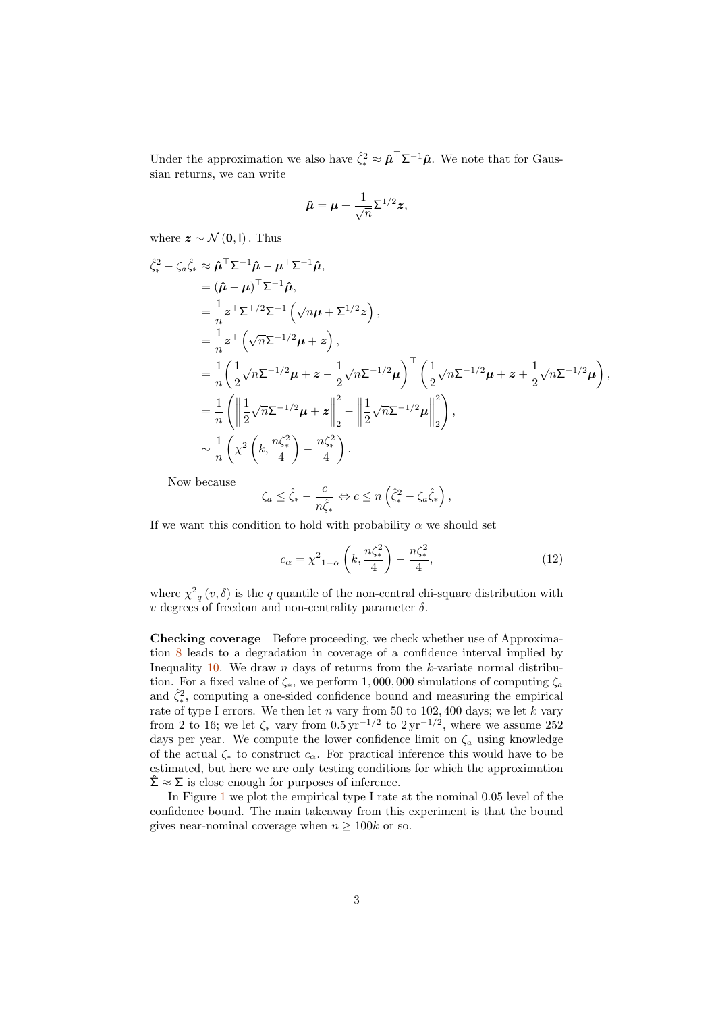Under the approximation we also have  $\hat{\zeta}_*^2 \approx \hat{\boldsymbol{\mu}}^\top \Sigma^{-1} \hat{\boldsymbol{\mu}}$ . We note that for Gaussian returns, we can write

$$
\hat{\boldsymbol{\mu}} = \boldsymbol{\mu} + \frac{1}{\sqrt{n}} \boldsymbol{\Sigma}^{1/2} \boldsymbol{z},
$$

where  $z \sim \mathcal{N}(0, I)$ . Thus

$$
\hat{\zeta}_{*}^{2} - \zeta_{a}\hat{\zeta}_{*} \approx \hat{\mu}^{\top}\Sigma^{-1}\hat{\mu} - \mu^{\top}\Sigma^{-1}\hat{\mu},
$$
\n
$$
= (\hat{\mu} - \mu)^{\top}\Sigma^{-1}\hat{\mu},
$$
\n
$$
= \frac{1}{n}z^{\top}\Sigma^{\top/2}\Sigma^{-1}(\sqrt{n}\mu + \Sigma^{1/2}z),
$$
\n
$$
= \frac{1}{n}z^{\top}(\sqrt{n}\Sigma^{-1/2}\mu + z),
$$
\n
$$
= \frac{1}{n}\left(\frac{1}{2}\sqrt{n}\Sigma^{-1/2}\mu + z - \frac{1}{2}\sqrt{n}\Sigma^{-1/2}\mu\right)^{\top}\left(\frac{1}{2}\sqrt{n}\Sigma^{-1/2}\mu + z + \frac{1}{2}\sqrt{n}\Sigma^{-1/2}\mu\right),
$$
\n
$$
= \frac{1}{n}\left(\left\|\frac{1}{2}\sqrt{n}\Sigma^{-1/2}\mu + z\right\|_{2}^{2} - \left\|\frac{1}{2}\sqrt{n}\Sigma^{-1/2}\mu\right\|_{2}^{2}\right),
$$
\n
$$
\sim \frac{1}{n}\left(\chi^{2}\left(k, \frac{n\zeta_{*}^{2}}{4}\right) - \frac{n\zeta_{*}^{2}}{4}\right).
$$

Now because

$$
\zeta_a \leq \hat{\zeta}_* - \frac{c}{n\hat{\zeta}_*} \Leftrightarrow c \leq n \left(\hat{\zeta}_*^2 - \zeta_a \hat{\zeta}_* \right),
$$

If we want this condition to hold with probability  $\alpha$  we should set

$$
c_{\alpha} = \chi^2_{1-\alpha} \left( k, \frac{n \zeta_*^2}{4} \right) - \frac{n \zeta_*^2}{4}, \tag{12}
$$

where  $\chi^2_{q}(v,\delta)$  is the q quantile of the non-central chi-square distribution with  $v$  degrees of freedom and non-centrality parameter  $\delta$ .

Checking coverage Before proceeding, we check whether use of Approximation [8](#page-1-0) leads to a degradation in coverage of a confidence interval implied by Inequality [10.](#page-1-1) We draw  $n$  days of returns from the  $k$ -variate normal distribution. For a fixed value of  $\zeta_*$ , we perform 1,000,000 simulations of computing  $\zeta_a$ and  $\hat{\zeta}_*^2$ , computing a one-sided confidence bound and measuring the empirical rate of type I errors. We then let n vary from 50 to  $102,400$  days; we let k vary from 2 to 16; we let  $\zeta_*$  vary from  $0.5 \,\mathrm{yr}^{-1/2}$  to  $2 \,\mathrm{yr}^{-1/2}$ , where we assume 252 days per year. We compute the lower confidence limit on  $\zeta_a$  using knowledge of the actual  $\zeta_*$  to construct  $c_{\alpha}$ . For practical inference this would have to be estimated, but here we are only testing conditions for which the approximation  $\hat{\Sigma} \approx \Sigma$  is close enough for purposes of inference.

In Figure [1](#page-3-0) we plot the empirical type I rate at the nominal 0.05 level of the confidence bound. The main takeaway from this experiment is that the bound gives near-nominal coverage when  $n \geq 100k$  or so.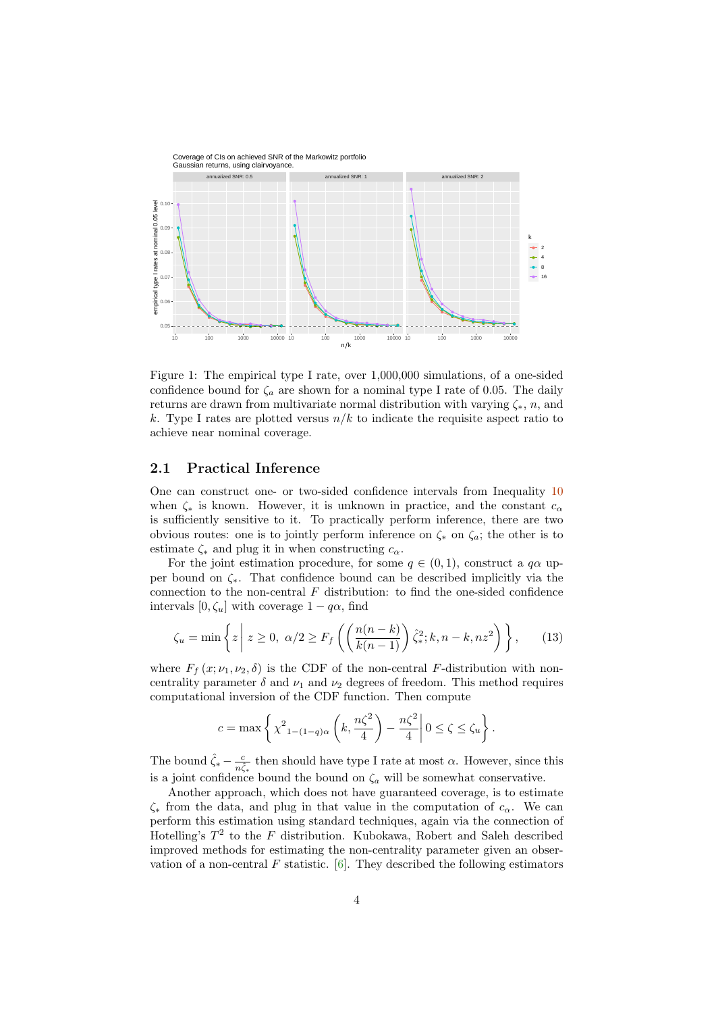

<span id="page-3-0"></span>Figure 1: The empirical type I rate, over 1,000,000 simulations, of a one-sided confidence bound for  $\zeta_a$  are shown for a nominal type I rate of 0.05. The daily returns are drawn from multivariate normal distribution with varying  $\zeta_*, n$ , and k. Type I rates are plotted versus  $n/k$  to indicate the requisite aspect ratio to achieve near nominal coverage.

### 2.1 Practical Inference

One can construct one- or two-sided confidence intervals from Inequality [10](#page-1-1) when  $\zeta_*$  is known. However, it is unknown in practice, and the constant  $c_{\alpha}$ is sufficiently sensitive to it. To practically perform inference, there are two obvious routes: one is to jointly perform inference on  $\zeta_*$  on  $\zeta_a$ ; the other is to estimate  $\zeta_*$  and plug it in when constructing  $c_{\alpha}$ .

For the joint estimation procedure, for some  $q \in (0,1)$ , construct a  $q\alpha$  upper bound on ζ∗. That confidence bound can be described implicitly via the connection to the non-central  $F$  distribution: to find the one-sided confidence intervals  $[0, \zeta_u]$  with coverage  $1 - q\alpha$ , find

$$
\zeta_u = \min\left\{z \mid z \ge 0, \ \alpha/2 \ge F_f\left(\left(\frac{n(n-k)}{k(n-1)}\right)\hat{\zeta}_*^2; k, n-k, nz^2\right)\right\},\qquad(13)
$$

where  $F_f(x; \nu_1, \nu_2, \delta)$  is the CDF of the non-central F-distribution with noncentrality parameter  $\delta$  and  $\nu_1$  and  $\nu_2$  degrees of freedom. This method requires computational inversion of the CDF function. Then compute

$$
c = \max \left\{ \chi^2_{1 - (1-q)\alpha} \left( k, \frac{n\zeta^2}{4} \right) - \frac{n\zeta^2}{4} \middle| 0 \le \zeta \le \zeta_u \right\}.
$$

The bound  $\hat{\zeta}_* - \frac{c}{n\hat{\zeta}_*}$  then should have type I rate at most  $\alpha$ . However, since this is a joint confidence bound the bound on  $\zeta_a$  will be somewhat conservative.

Another approach, which does not have guaranteed coverage, is to estimate  $\zeta_*$  from the data, and plug in that value in the computation of  $c_{\alpha}$ . We can perform this estimation using standard techniques, again via the connection of Hotelling's  $T^2$  to the F distribution. Kubokawa, Robert and Saleh described improved methods for estimating the non-centrality parameter given an observation of a non-central F statistic.  $[6]$ . They described the following estimators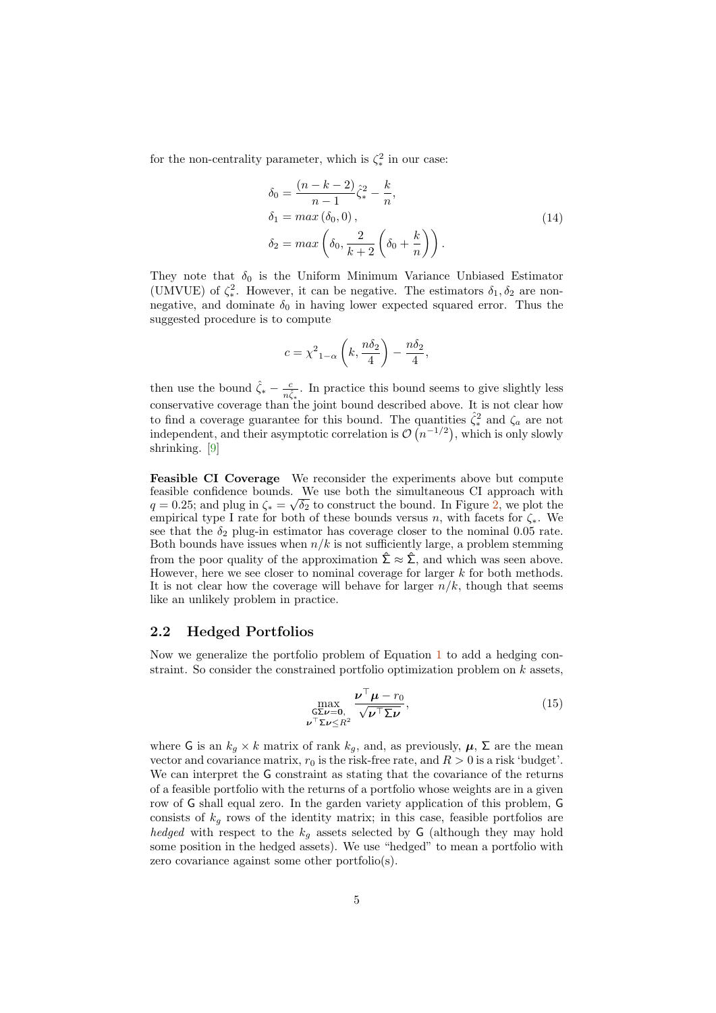for the non-centrality parameter, which is  $\zeta_*^2$  in our case:

$$
\delta_0 = \frac{(n-k-2)}{n-1} \hat{\zeta}_*^2 - \frac{k}{n},
$$
  
\n
$$
\delta_1 = \max(\delta_0, 0),
$$
  
\n
$$
\delta_2 = \max\left(\delta_0, \frac{2}{k+2}\left(\delta_0 + \frac{k}{n}\right)\right).
$$
\n(14)

They note that  $\delta_0$  is the Uniform Minimum Variance Unbiased Estimator (UMVUE) of  $\zeta_*^2$ . However, it can be negative. The estimators  $\delta_1, \delta_2$  are nonnegative, and dominate  $\delta_0$  in having lower expected squared error. Thus the suggested procedure is to compute

$$
c = \chi^2_{1-\alpha} \left( k, \frac{n\delta_2}{4} \right) - \frac{n\delta_2}{4},
$$

then use the bound  $\hat{\zeta}_* - \frac{c}{n\hat{\zeta}_*}$ . In practice this bound seems to give slightly less conservative coverage than the joint bound described above. It is not clear how to find a coverage guarantee for this bound. The quantities  $\hat{\zeta}_*^2$  and  $\zeta_a$  are not independent, and their asymptotic correlation is  $\mathcal{O}(n^{-1/2})$ , which is only slowly shrinking. [\[9\]](#page-9-3)

Feasible CI Coverage We reconsider the experiments above but compute feasible confidence bounds. We use both the simultaneous CI approach with  $q = 0.25$ ; and plug in  $\zeta_* = \sqrt{\delta_2}$  to construct the bound. In Figure [2,](#page-5-0) we plot the empirical type I rate for both of these bounds versus n, with facets for  $\zeta_*$ . We see that the  $\delta_2$  plug-in estimator has coverage closer to the nominal 0.05 rate. Both bounds have issues when  $n/k$  is not sufficiently large, a problem stemming from the poor quality of the approximation  $\hat{\Sigma} \approx \hat{\Sigma}$ , and which was seen above. However, here we see closer to nominal coverage for larger k for both methods. It is not clear how the coverage will behave for larger  $n/k$ , though that seems like an unlikely problem in practice.

#### 2.2 Hedged Portfolios

Now we generalize the portfolio problem of Equation [1](#page-0-0) to add a hedging constraint. So consider the constrained portfolio optimization problem on  $k$  assets,

$$
\max_{\substack{\mathsf{G}\Sigma\boldsymbol{\nu}=\mathbf{0},\\ \boldsymbol{\nu}^{\top}\Sigma\boldsymbol{\nu}\leq R^{2}}} \frac{\boldsymbol{\nu}^{\top}\boldsymbol{\mu}-r_{0}}{\sqrt{\boldsymbol{\nu}^{\top}\Sigma\boldsymbol{\nu}}},\tag{15}
$$

where G is an  $k_q \times k$  matrix of rank  $k_q$ , and, as previously,  $\mu$ ,  $\Sigma$  are the mean vector and covariance matrix,  $r_0$  is the risk-free rate, and  $R > 0$  is a risk 'budget'. We can interpret the G constraint as stating that the covariance of the returns of a feasible portfolio with the returns of a portfolio whose weights are in a given row of G shall equal zero. In the garden variety application of this problem, G consists of  $k_q$  rows of the identity matrix; in this case, feasible portfolios are hedged with respect to the  $k_g$  assets selected by G (although they may hold some position in the hedged assets). We use "hedged" to mean a portfolio with zero covariance against some other portfolio(s).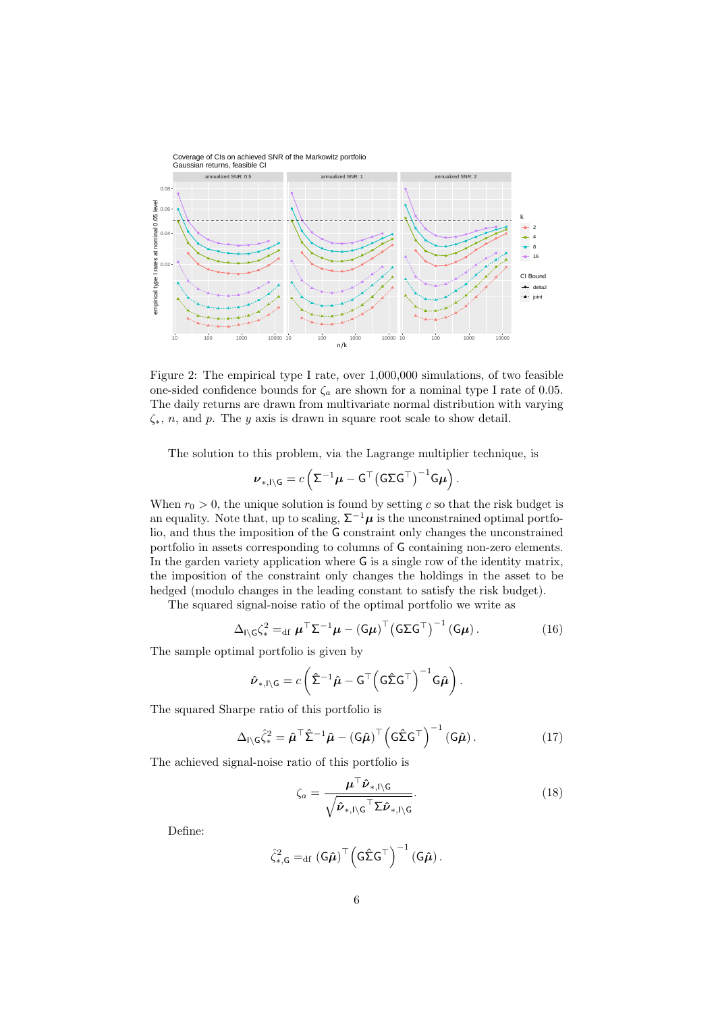

<span id="page-5-0"></span>Figure 2: The empirical type I rate, over 1,000,000 simulations, of two feasible one-sided confidence bounds for  $\zeta_a$  are shown for a nominal type I rate of 0.05. The daily returns are drawn from multivariate normal distribution with varying  $\zeta_*, n$ , and p. The y axis is drawn in square root scale to show detail.

The solution to this problem, via the Lagrange multiplier technique, is

$$
\boldsymbol{\nu}_{*,I\setminus\mathsf{G}}=c\left(\mathsf{\Sigma}^{-1}\boldsymbol{\mu}-\mathsf{G}^{\top}\big(\mathsf{G}\mathsf{\Sigma}\mathsf{G}^{\top}\big)^{-1}\mathsf{G}\boldsymbol{\mu}\right).
$$

When  $r_0 > 0$ , the unique solution is found by setting c so that the risk budget is an equality. Note that, up to scaling,  $\Sigma^{-1}\mu$  is the unconstrained optimal portfolio, and thus the imposition of the G constraint only changes the unconstrained portfolio in assets corresponding to columns of G containing non-zero elements. In the garden variety application where G is a single row of the identity matrix, the imposition of the constraint only changes the holdings in the asset to be hedged (modulo changes in the leading constant to satisfy the risk budget).

The squared signal-noise ratio of the optimal portfolio we write as

$$
\Delta_{\mathsf{I}\backslash\mathsf{G}}\zeta_*^2 =_{\mathrm{df}} \boldsymbol{\mu}^\top \boldsymbol{\Sigma}^{-1} \boldsymbol{\mu} - (\mathsf{G}\boldsymbol{\mu})^\top (\mathsf{G}\boldsymbol{\Sigma}\mathsf{G}^\top)^{-1} (\mathsf{G}\boldsymbol{\mu}). \tag{16}
$$

The sample optimal portfolio is given by

$$
\hat{\boldsymbol{\nu}}_{*,I\setminus\mathsf{G}}=c\left(\hat{\boldsymbol{\Sigma}}^{-1}\hat{\boldsymbol{\mu}}-\mathsf{G}^{\top}\left(\mathsf{G}\hat{\boldsymbol{\Sigma}}\mathsf{G}^{\top}\right)^{-1}\mathsf{G}\hat{\boldsymbol{\mu}}\right).
$$

The squared Sharpe ratio of this portfolio is

$$
\Delta_{\mathsf{I}\backslash\mathsf{G}}\hat{\zeta}_*^2 = \hat{\boldsymbol{\mu}}^\top \hat{\boldsymbol{\Sigma}}^{-1} \hat{\boldsymbol{\mu}} - (\mathsf{G}\hat{\boldsymbol{\mu}})^\top \Big(\mathsf{G}\hat{\boldsymbol{\Sigma}}\mathsf{G}^\top\Big)^{-1} (\mathsf{G}\hat{\boldsymbol{\mu}}).
$$
 (17)

The achieved signal-noise ratio of this portfolio is

$$
\zeta_a = \frac{\boldsymbol{\mu}^\top \hat{\boldsymbol{\nu}}_{*,\mathsf{I}\setminus\mathsf{G}}}{\sqrt{\hat{\boldsymbol{\nu}}_{*,\mathsf{I}\setminus\mathsf{G}}^\top \Sigma \hat{\boldsymbol{\nu}}_{*,\mathsf{I}\setminus\mathsf{G}}}}.\tag{18}
$$

Define:

$$
\hat{\zeta}_{*,\mathsf{G}}^2 =_{\mathrm{df}} (\mathsf{G} \hat{\boldsymbol{\mu}})^{\top} \Big(\mathsf{G} \hat{\boldsymbol{\Sigma}} \mathsf{G}^{\top}\Big)^{-1} (\mathsf{G} \hat{\boldsymbol{\mu}}) .
$$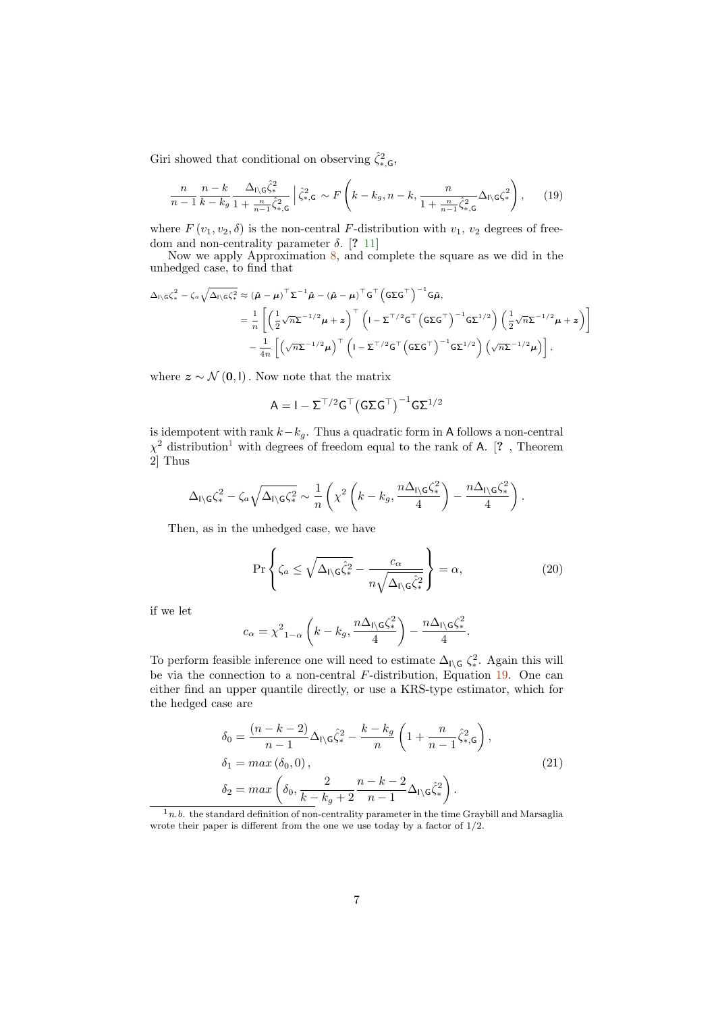Giri showed that conditional on observing  $\hat{\zeta}_{*,\mathsf{G}}^2$ ,

<span id="page-6-1"></span>
$$
\frac{n}{n-1} \frac{n-k}{k-k_g} \frac{\Delta_{\mathsf{I}\backslash\mathsf{G}}\hat{\zeta}_*^2}{1+\frac{n}{n-1}\hat{\zeta}_*^2 \zeta} \left| \hat{\zeta}_*^2 \zeta \right| \leqslant \kappa \sqrt{F\left(k-k_g, n-k, \frac{n}{1+\frac{n}{n-1}\hat{\zeta}_*^2 \zeta} \Delta_{\mathsf{I}\backslash\mathsf{G}} \zeta_*^2 \right)},\tag{19}
$$

where  $F(v_1, v_2, \delta)$  is the non-central F-distribution with  $v_1, v_2$  degrees of freedom and non-centrality parameter  $\delta$ . [? [11\]](#page-9-4)

Now we apply Approximation [8,](#page-1-0) and complete the square as we did in the unhedged case, to find that

$$
\Delta_{\Gamma\backslash G}\zeta_*^2 - \zeta_a \sqrt{\Delta_{\Gamma\backslash G}}\zeta_*^2 \approx (\hat{\mu} - \mu)^{\top} \Sigma^{-1} \hat{\mu} - (\hat{\mu} - \mu)^{\top} G^{\top} (\mathsf{G} \Sigma \mathsf{G}^{\top})^{-1} \mathsf{G} \hat{\mu},
$$
\n
$$
= \frac{1}{n} \left[ \left( \frac{1}{2} \sqrt{n} \Sigma^{-1/2} \mu + z \right)^{\top} \left( 1 - \Sigma^{\top/2} \mathsf{G}^{\top} \left( \mathsf{G} \Sigma \mathsf{G}^{\top} \right)^{-1} \mathsf{G} \Sigma^{1/2} \right) \left( \frac{1}{2} \sqrt{n} \Sigma^{-1/2} \mu + z \right) \right]
$$
\n
$$
- \frac{1}{4n} \left[ \left( \sqrt{n} \Sigma^{-1/2} \mu \right)^{\top} \left( 1 - \Sigma^{\top/2} \mathsf{G}^{\top} \left( \mathsf{G} \Sigma \mathsf{G}^{\top} \right)^{-1} \mathsf{G} \Sigma^{1/2} \right) \left( \sqrt{n} \Sigma^{-1/2} \mu \right) \right],
$$

where  $z \sim \mathcal{N}(\mathbf{0}, \mathbf{I})$ . Now note that the matrix

$$
A = I - \Sigma^{\top/2} G^{\top} \big( G \Sigma G^{\top} \big)^{-1} G \Sigma^{1/2}
$$

is idempotent with rank  $k-k_g$ . Thus a quadratic form in A follows a non-central  $\chi^2$  distribution<sup>[1](#page-6-0)</sup> with degrees of freedom equal to the rank of A. [?, Theorem 2] Thus

$$
\Delta_{\mathsf{I}\backslash\mathsf{G}}\zeta_*^2 - \zeta_a\sqrt{\Delta_{\mathsf{I}\backslash\mathsf{G}}\zeta_*^2} \sim \frac{1}{n}\left(\chi^2\left(k - k_g, \frac{n\Delta_{\mathsf{I}\backslash\mathsf{G}}\zeta_*^2}{4}\right) - \frac{n\Delta_{\mathsf{I}\backslash\mathsf{G}}\zeta_*^2}{4}\right).
$$

Then, as in the unhedged case, we have

$$
\Pr\left\{\zeta_a \le \sqrt{\Delta_{\mathsf{I}\setminus\mathsf{G}}\hat{\zeta}_*^2} - \frac{c_\alpha}{n\sqrt{\Delta_{\mathsf{I}\setminus\mathsf{G}}\hat{\zeta}_*^2}}\right\} = \alpha,\tag{20}
$$

if we let

$$
c_{\alpha} = \chi^2_{1-\alpha} \left( k - k_g, \frac{n \Delta_{\mathsf{I} \setminus \mathsf{G}} \zeta_*^2}{4} \right) - \frac{n \Delta_{\mathsf{I} \setminus \mathsf{G}} \zeta_*^2}{4}.
$$

To perform feasible inference one will need to estimate  $\Delta_{\iota} \zeta^2$ . Again this will be via the connection to a non-central  $F$ -distribution, Equation [19.](#page-6-1) One can either find an upper quantile directly, or use a KRS-type estimator, which for the hedged case are

$$
\delta_0 = \frac{(n-k-2)}{n-1} \Delta_{\mathsf{I}\setminus\mathsf{G}} \hat{\zeta}_*^2 - \frac{k-k_g}{n} \left( 1 + \frac{n}{n-1} \hat{\zeta}_*^2, \mathsf{G} \right),
$$
  
\n
$$
\delta_1 = \max(\delta_0, 0),
$$
  
\n
$$
\delta_2 = \max\left( \delta_0, \frac{2}{k-k_g+2} \frac{n-k-2}{n-1} \Delta_{\mathsf{I}\setminus\mathsf{G}} \hat{\zeta}_*^2 \right).
$$
\n(21)

<span id="page-6-0"></span> $1n.b.$  the standard definition of non-centrality parameter in the time Graybill and Marsaglia wrote their paper is different from the one we use today by a factor of  $1/2$ .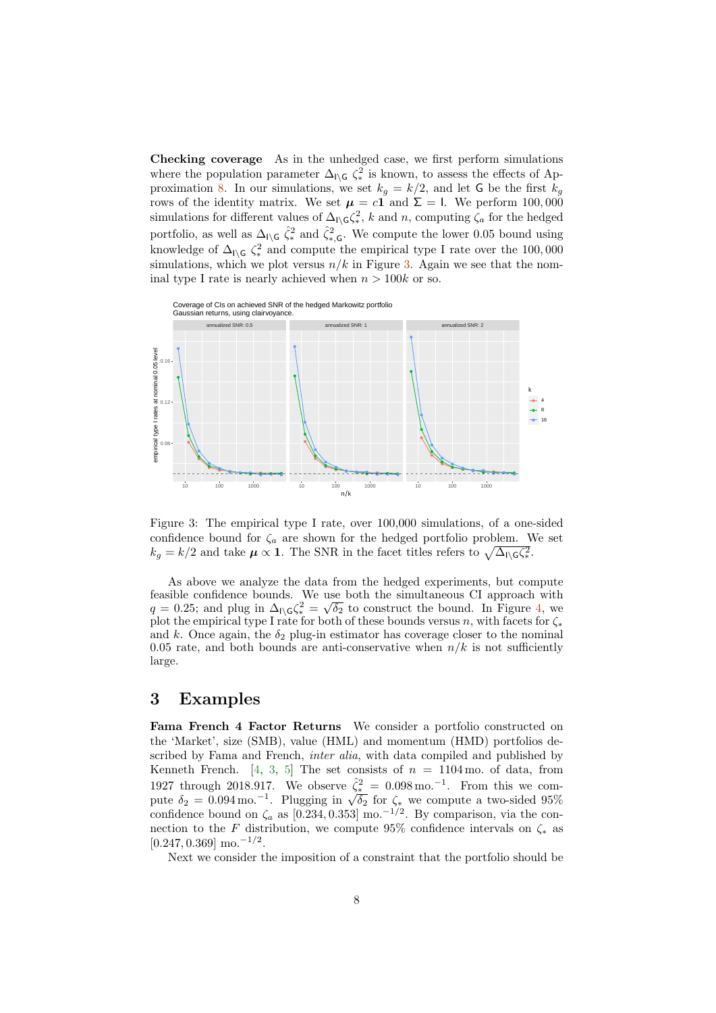Checking coverage As in the unhedged case, we first perform simulations where the population parameter  $\Delta_{\iota \setminus G} \zeta_*^2$  is known, to assess the effects of Ap-proximation [8.](#page-1-0) In our simulations, we set  $k_g = k/2$ , and let G be the first  $k_g$ rows of the identity matrix. We set  $\mu = c1$  and  $\Sigma = 1$ . We perform 100,000 simulations for different values of  $\Delta_{\mathsf{I}\setminus\mathsf{G}}\zeta_*^2$ , k and n, computing  $\zeta_a$  for the hedged portfolio, as well as  $\Delta_{I\setminus G}$   $\hat{\zeta}_*^2$  and  $\hat{\zeta}_{*,G}^2$ . We compute the lower 0.05 bound using knowledge of  $\Delta_{\mathsf{I}\setminus\mathsf{G}}\zeta_*^2$  and compute the empirical type I rate over the 100,000 simulations, which we plot versus  $n/k$  in Figure [3.](#page-7-0) Again we see that the nominal type I rate is nearly achieved when  $n > 100k$  or so.



<span id="page-7-0"></span>Figure 3: The empirical type I rate, over 100,000 simulations, of a one-sided confidence bound for  $\zeta_a$  are shown for the hedged portfolio problem. We set  $k_g = k/2$  and take  $\mu \propto 1$ . The SNR in the facet titles refers to  $\sqrt{\Delta_{\rm i}}\zeta_*^2$ .

As above we analyze the data from the hedged experiments, but compute feasible confidence bounds. We use both the simultaneous CI approach with reasible confidence bounds. We use both the simultaneous CI approach with  $q = 0.25$ ; and plug in  $\Delta_{1\setminus G}\zeta_*^2 = \sqrt{\delta_2}$  to construct the bound. In Figure [4,](#page-8-2) we plot the empirical type I rate for both of these bounds versus n, with facets for  $\zeta_*$ and k. Once again, the  $\delta_2$  plug-in estimator has coverage closer to the nominal 0.05 rate, and both bounds are anti-conservative when  $n/k$  is not sufficiently large.

## 3 Examples

Fama French 4 Factor Returns We consider a portfolio constructed on the 'Market', size (SMB), value (HML) and momentum (HMD) portfolios described by Fama and French, *inter alia*, with data compiled and published by Kenneth French. [\[4,](#page-9-6) [3,](#page-8-3) [5\]](#page-9-7) The set consists of  $n = 1104$  mo. of data, from 1927 through 2018.917. We observe  $\hat{\zeta}_*^2 = 0.098 \,\text{mo.}^{-1}$ . From this we com-1927 through 2018.917. We observe  $\zeta_{*}^* = 0.098 \text{ m}$ . From this we compute  $\delta_2 = 0.094 \text{ m}$ . Plugging in  $\sqrt{\delta_2}$  for  $\zeta_*$  we compute a two-sided 95% confidence bound on  $\zeta_a$  as [0.234, 0.353] mo.<sup>-1/2</sup>. By comparison, via the connection to the F distribution, we compute 95% confidence intervals on  $\zeta_*$  as  $[0.247, 0.369]$  mo.<sup>-1/2</sup>.

Next we consider the imposition of a constraint that the portfolio should be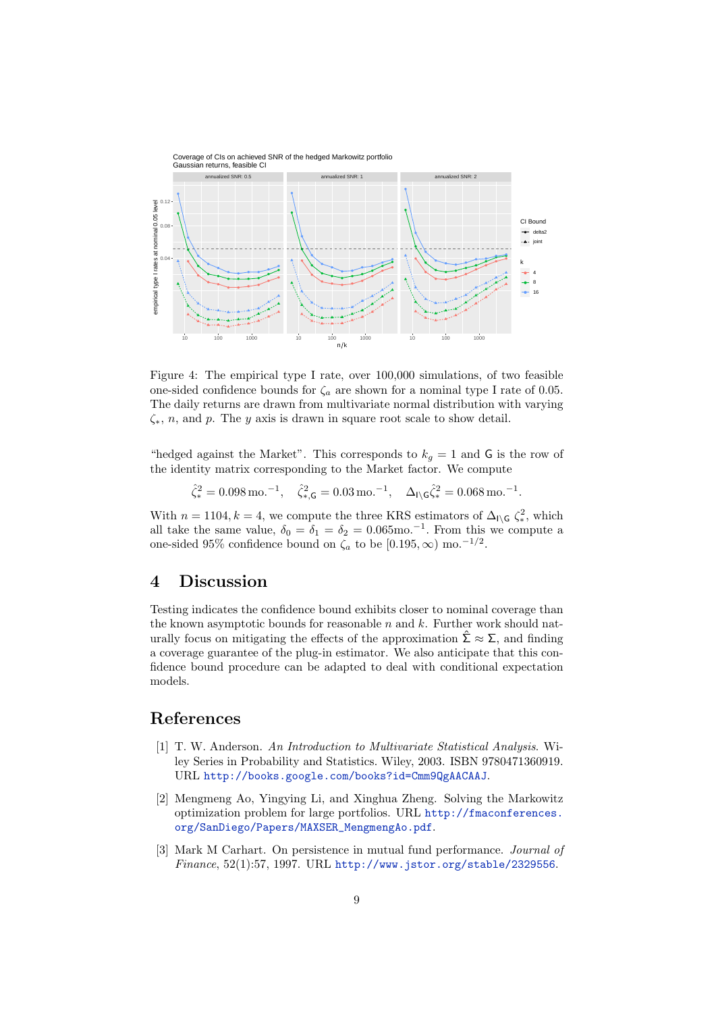

<span id="page-8-2"></span>Figure 4: The empirical type I rate, over 100,000 simulations, of two feasible one-sided confidence bounds for  $\zeta_a$  are shown for a nominal type I rate of 0.05. The daily returns are drawn from multivariate normal distribution with varying  $\zeta_*, n$ , and p. The y axis is drawn in square root scale to show detail.

"hedged against the Market". This corresponds to  $k_q = 1$  and G is the row of the identity matrix corresponding to the Market factor. We compute

 $\hat{\zeta}_*^2 = 0.098 \,\text{mo.}^{-1}, \quad \hat{\zeta}_{*,\mathsf{G}}^2 = 0.03 \,\text{mo.}^{-1}, \quad \Delta_{\mathsf{I}\setminus\mathsf{G}}\hat{\zeta}_*^2 = 0.068 \,\text{mo.}^{-1}.$ 

With  $n = 1104, k = 4$ , we compute the three KRS estimators of  $\Delta_{\Gamma \backslash G} \zeta_*^2$ , which all take the same value,  $\delta_0 = \delta_1 = \delta_2 = 0.065$  mo.<sup>-1</sup>. From this we compute a one-sided 95% confidence bound on  $\zeta_a$  to be [0.195,  $\infty$ ) mo.<sup>-1/2</sup>.

## 4 Discussion

Testing indicates the confidence bound exhibits closer to nominal coverage than the known asymptotic bounds for reasonable  $n$  and  $k$ . Further work should naturally focus on mitigating the effects of the approximation  $\Sigma \approx \Sigma$ , and finding a coverage guarantee of the plug-in estimator. We also anticipate that this confidence bound procedure can be adapted to deal with conditional expectation models.

## References

- <span id="page-8-1"></span>[1] T. W. Anderson. An Introduction to Multivariate Statistical Analysis. Wiley Series in Probability and Statistics. Wiley, 2003. ISBN 9780471360919. URL <http://books.google.com/books?id=Cmm9QgAACAAJ>.
- <span id="page-8-0"></span>[2] Mengmeng Ao, Yingying Li, and Xinghua Zheng. Solving the Markowitz optimization problem for large portfolios. URL [http://fmaconferences.](http://fmaconferences.org/SanDiego/Papers/MAXSER_MengmengAo.pdf) [org/SanDiego/Papers/MAXSER\\_MengmengAo.pdf](http://fmaconferences.org/SanDiego/Papers/MAXSER_MengmengAo.pdf).
- <span id="page-8-3"></span>[3] Mark M Carhart. On persistence in mutual fund performance. Journal of  $Finance, 52(1):57, 1997. \text{ URL http://www.istor.org/stable/2329556.}$